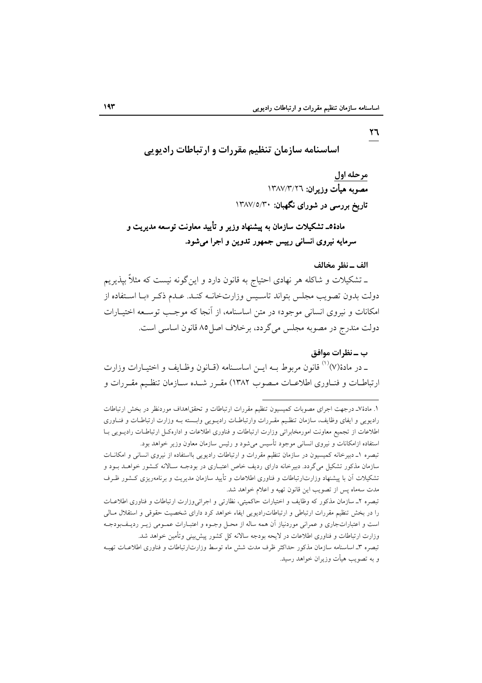اساسنامه سازمان تنظیم مقررات و ارتباطات رادیویی

مرحله اول مصوبه هیأت وزیران: ۱۳۸۷/۳/۲٦ تاریخ بررسی در شورای نگهبان: ۱۳۸۷/۵/۳۰

مادۀ٥\_ تشکیلات سازمان به پیشنهاد وزیر و تأیید معاونت توسعه مدیریت و سرمایه نیروی انسانی رییس جمهور تدوین و اجرا میشود.

الف ـ نظر مخالف

۲٦

ـ تشکیلات و شاکله هر نهادی احتیاج به قانون دارد و اینگونه نیست که مثلاً بپذیریم دولت بدون تصويب مجلس بتواند تاسـيس وزارتخانــه كنــد. عــدم ذكـر «بــا اسـتفاده از امکانات و نیروی انسانی موجود» در متن اساسنامه، از انجا که موجـب توســعه اختیــارات دولت مندرج در مصوبه مجلس میگردد، برخلاف اصل۸۵ قانون اساسی است.

## ب **ــ نظرات موافق**

ـ در مادهٔ(۷)<sup>(۱)</sup> قانون مربوط بــه ايــن اساســنامه (قــانون وظــايف و اختيــارات وزارت ارتباطــات و فنـــاوری اطلاعـــات مــصوب ١٣٨٢) مقــرر شـــده ســـازمان تنظــيم مقــررات و

۱. مادهٔ۷ـ درجهت اجرای مصوبات کمیسیون تنظیم مقررات ارتباطات و تحققاهداف موردنظر در بخش ارتباطات رادیویی و ایفای وظایف، سازمان تنظـیم مقــررات وارتباطــات رادیــویی وابــسته بــه وزارت ارتباطــات و فنــاوری طلاعات از تجمیع معاونت امورمخابراتی وزارت ارتباطات و فناوری اطلاعات و ادارهکـل ارتباطــات رادیــویی بــا  $\overline{\phantom{a}}$ استفاده ازامکانات و نیروی انسانی موجود تأسیس میشود و رئیس سازمان معاون وزیر خواهد بود.

تبصره ۱ــ دبیرخانه کمیسیون در سازمان تنظیم مقررات و ارتباطات رادیویی بااستفاده از نیروی انسانی و امکانــات سازمان مذکور تشکیل میگردد. دبیرخانه دارای ردیف خاص اعتبـاری در بودجــه سـالانه کــشور خواهــد بــود و تشکیلات آن با پیشنهاد وزارت|رتباطات و فناوری اطلاعات و تأیید سازمان مدیریت و برنامهریزی کـشور ظـرف مدت سهماه پس از تصویب این قانون تهیه و اعلام خواهد شد.

تبصره ۲ـ سازمان مذکور که وظایف و اختیارات حاکمیتی، نظارتی و اجرائیوزارت ارتباطات و فناوری اطلاعــات را در بخش تنظیم مقررات ارتباطی و ارتباطات٫ادیویی ایفاء خواهد کرد دارای شخصیت حقوقی و استقلال مــالی است و اعتباراتجاری و عمرانی موردنیاز آن همه ساله از محـل وجــوه و اعتبــارات عمــومی زیــر ردیــفبودجــه وزارت ارتباطات و فناوری اطلاعات در لایحه بودجه سالانه کل کشور پیش بینی وتامین خواهد شد.

تبصره ۳ـ اساسنامه سازمان مذکور حداکثر ظرف مدت شش ماه توسط وزارتارتباطات و فناوری اطلاعــات تهیــه و به تصویب هیأت وزیران خواهد رسید.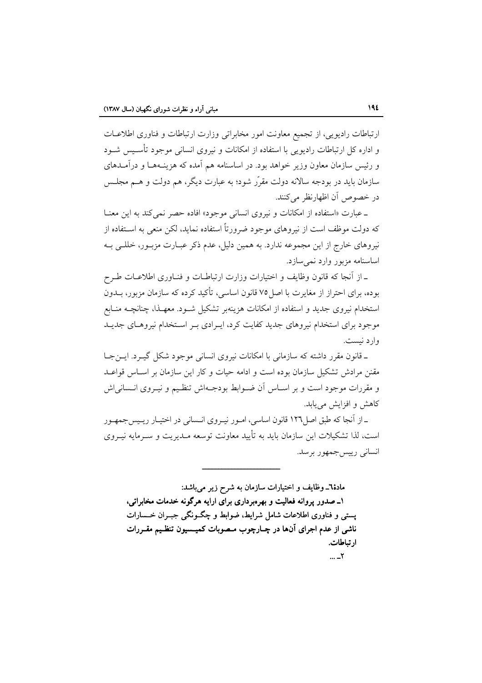ارتباطات رادیویی، از تجمیع معاونت امور مخابراتی وزارت ارتباطات و فناوری اطلاعــات و اداره کل ارتباطات رادیویی با استفاده از امکانات و نیروی انسانی موجود تاسـیس شــود و رئيس سازمان معاون وزير خواهد بود. در اساسنامه هم آمده كه هزينــههــا و درآمــدهاي سازمان باید در بودجه سالانه دولت مقرّر شود؛ به عبارت دیگر، هم دولت و هــم مجلــس در خصوص ان اظهارنظر میکنند.

ـ عبارت «استفاده از امکانات و نیروی انسانی موجود» افاده حصر نمیکند به این معنــا که دولت موظف است از نیروهای موجود ضرورتا استفاده نماید. لکن منعی به اســتفاده از نیروهای خارج از این مجموعه ندارد. به همین دلیل، عدم ذکر عبــارت مزبــور، خللــی بــه اساسنامه مزبور وارد نمیسازد.

ـ از انجا که قانون وظایف و اختیارات وزارت ارتباطـات و فنــاوری اطلاعــات طــرح بوده، برای احتراز از مغایرت با اصل۷۵ قانون اساسی، تاکید کرده که سازمان مزبور، بــدون استخدام نیروی جدید و استفاده از امکانات هزینهبر تشکیل شـود. معهـذا، چنانچــه منـابع موجود برای استخدام نیروهای جدید کفایت کرد، ایـرادی بـر اسـتخدام نیروهـای جدیـد وارد نيست.

ـ قانون مقرر داشته که سازمانی با امکانات نیروی انسانی موجود شکل گیــرد. ایــنجــا مقنن مرادش تشکیل سازمان بوده است و ادامه حیات و کار این سازمان بر اسـاس قواعــد و مقررات موجود است و بر اســاس ان ضــوابط بودجــهاش تنظـيم و نيــروى انــسانىیاش کاهش و افزایش مییابد.

ــ از انجا که طبق اصل۱۲۲ قانون اساسی، امـور نیـروی انــسانی در اختیــار ریــیسجمهـور است، لذا تشکیلات این سازمان باید به تأیید معاونت توسعه مـدیریت و سـرمایه نیــروی انساني رييسجمهور برسد.

666666666666666666666666

مادهٔا– وظایف و اختیارات سازمان به شرح زیر میباشد:

۱\_صدور پروانه فعالیت و بهرهبرداری برای ارایه هرگونه خدمات مخابراتی، پستی و فناوری اطلاعات شامل شرایط، ضوابط و چگـونگی جبـران خــسارات ناشی از عدم اجرای انها در چــارچوب مــصوبات کمیــسیون تنظـیم مقــررات ار تباطات.

 $\dots$  -  $\mathsf{r}$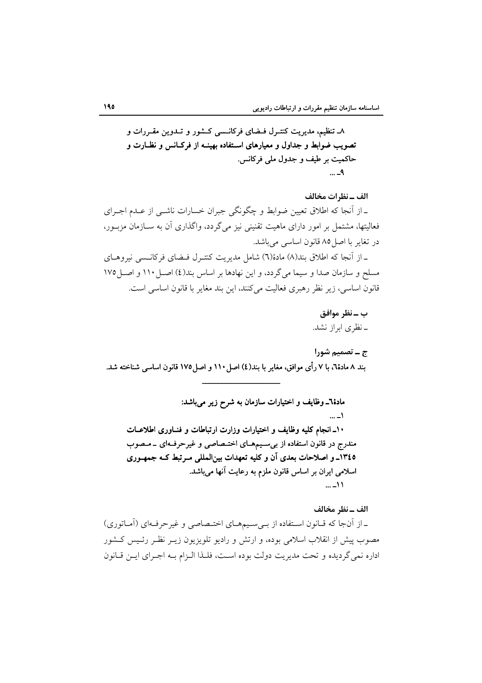۸ـ تنظیم، مدیریت کنتــرل فــضای فرکانــسی کــشور و تــدوین مقــررات و تصویب ضوابط و جداول و معیارهای استفاده بهینـه از فرکـانس و نظـارت و حاکمیت بر طیف و جدول ملی فرکانس.  $\mathcal{L}$ ...

**الف \_نظرات مخالف** 

ـ از أنجا که اطلاق تعیین ضوابط و چگونگی جبران خسارات ناشــی از عــدم اجــرای فعالیتها، مشتمل بر امور دارای ماهیت تقنینی نیز میگردد. واگذاری ان به ســازمان مزبــور. در تغایر با اصل۸۵ قانون اساسی میباشد.

ـ از انجا که اطلاق بند(۸) مادهٔ(٦) شامل مدیریت کنتـرل فـضای فرکانــسی نیروهــای مسلح و سازمان صدا و سیما میگردد، و این نهادها بر اساس بند(٤) اصــل۱۱۰ و اصــل۱۷۵ قانون اساسی، زیر نظر رهبری فعالیت میکنند، این بند مغایر با قانون اساسی است.

ب ــ نظر موافق

ـ نظري ابراز نشد.

ج *ــ تص*ميم شورا بند ۸ مادهٔ۲، با ۷ رأی موافق، مغایر با بند(٤) اصل ۱۱۰ و اصل۱۷۵ قانون اساسی شناخته شد.

666666666666666666666666

مادهٔا– وظایف و اختیارات سازمان به شرح زیر میباشد:  $\dots -$ ۱۰\_ انجام کلیه وظایف و اختیارات وزارت ارتباطات و فنــاوری اطلاعــات مندرج در قانون استفاده از بی سـیمهــای اختــصاصی و غیرحرفــهای ــ مــصوب ۱۳٤۵\_ و اصلاحات بعدی ان و کلیه تعهدات بین|لمللی مـرتبط کــه جمهـوری اسلامی ایران بر اساس قانون ملزم به رعایت انها میباشد.  $... - 11$ 

الف ـ نظر مخالف

ـ از انجا که قــانون اســتفاده از بــىسـيمهــاى اختــصاصى و غيرحرفـهاى (امــاتورى) مصوب پیش از انقلاب اسلامی بوده، و ارتش و رادیو تلویزیون زیــر نظــر رئــیس کــشور اداره نمی گردیده و تحت مدیریت دولت بوده اسـت، فلــذا الــزام بــه اجــرای ایــن قــانون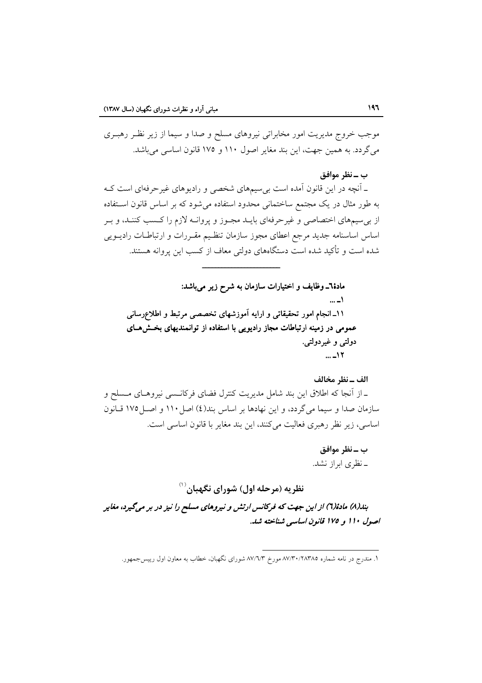موجب خروج مدیریت امور مخابراتی نیروهای مسلح و صدا و سیما از زیر نظـر رهبــری میگردد. به همین جهت، این بند مغایر اصول ۱۱۰ و ۱۷۵ قانون اساسی میباشد.

ب ـ نظر موافق

ـ آنچه در این قانون آمده است بی سیمهای شخصی و رادیوهای غیرحرفهای است ک به طور مثال در یک مجتمع ساختمانی محدود استفاده می شود که بر اساس قانون استفاده از بی سیمهای اختصاصی و غیرحرفهای بایـد مجـوز و پروانـه لازم را کـسب کننـد، و بـر اساس اساسنامه جدید مرجع اعطای مجوز سازمان تنظیم مقـررات و ارتباطــات رادیــویی شده است و تأکید شده است دستگاههای دولتی معاف از کسب این پروانه هستند.

مادة\\_وظايف و اختيارات سازمان به شرح زير مي باشد:  $...$ ۱۱ـ انجام امور تحقیقاتی و ارایه أموزشهای تخصصی مرتبط و اطلاعٖرسانی عمومی در زمینه ارتباطات مجاز رادیویی با استفاده از توانمندیهای بخـش(مـای دولتي و غيردولتي.  $1.11$ 

## الف ـ نظر مخالف

ـ از آنجا که اطلاق این بند شامل مدیریت کنترل فضای فرکانـسی نیروهـای مـسلح و سازمان صدا و سیما می گردد، و این نهادها بر اساس بند(٤) اصل ١١٠ و اصل۱٧٥ قـانون اساسی، زیر نظر رهبری فعالیت میکنند، این بند مغایر با قانون اساسی است.

> ب ــ نظر موافق ـ نظرى ابراز نشد.

## نظریه (مرحله اول) شورای نگهبان $^{(1)}$

بند(۸) مادهٔ(٦) از این جهت که فرکانس ارتش و نیروهای مسلح را نیز در بر میگیرد، مغایر اصول ۱۱۰ و ۱۷۵ قانون اساسی شناخته شد.

۱. مندرج در نامه شماره ۸۷/۳۰/۲۸۳۸۵ مورخ ۸۷/٦/۳ شورای نگهبان، خطاب به معاون اول رییسجمهور.